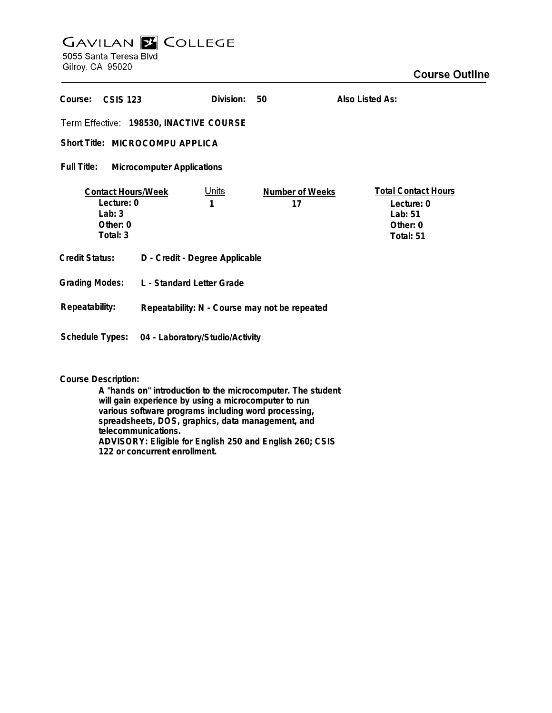## **GAVILAN Z COLLEGE** 5055 Santa Teresa Blvd

Gilroy, CA 95020

| Course:<br>CSIS 123                                                           |                                               | Division:         | 50                    | Also Listed As:                                                              |
|-------------------------------------------------------------------------------|-----------------------------------------------|-------------------|-----------------------|------------------------------------------------------------------------------|
| Term Effective: 198530, INACTIVE COURSE                                       |                                               |                   |                       |                                                                              |
| Short Title: MICROCOMPU APPLICA                                               |                                               |                   |                       |                                                                              |
| Full Title:<br><b>Microcomputer Applications</b>                              |                                               |                   |                       |                                                                              |
| <b>Contact Hours/Week</b><br>Lecture: 0<br>Lab: $3$<br>Other: $0$<br>Total: 3 |                                               | <u>Units</u><br>1 | Number of Weeks<br>17 | <b>Total Contact Hours</b><br>Lecture: 0<br>Lab: 51<br>Other: 0<br>Total: 51 |
| <b>Credit Status:</b>                                                         | D - Credit - Degree Applicable                |                   |                       |                                                                              |
| <b>Grading Modes:</b>                                                         | L - Standard Letter Grade                     |                   |                       |                                                                              |
| Repeatability:                                                                | Repeatability: N - Course may not be repeated |                   |                       |                                                                              |
| <b>Schedule Types:</b>                                                        | 04 - Laboratory/Studio/Activity               |                   |                       |                                                                              |

## **Course Description:**

**A "hands on" introduction to the microcomputer. The student will gain experience by using a microcomputer to run various software programs including word processing, spreadsheets, DOS, graphics, data management, and telecommunications. ADVISORY: Eligible for English 250 and English 260; CSIS 122 or concurrent enrollment.**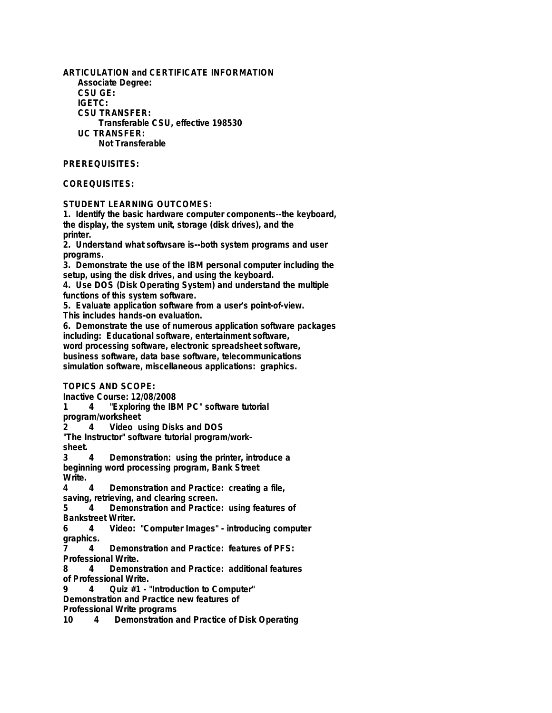**ARTICULATION and CERTIFICATE INFORMATION Associate Degree: CSU GE: IGETC: CSU TRANSFER: Transferable CSU, effective 198530 UC TRANSFER: Not Transferable**

## **PREREQUISITES:**

## **COREQUISITES:**

**STUDENT LEARNING OUTCOMES:**

**1. Identify the basic hardware computer components--the keyboard, the display, the system unit, storage (disk drives), and the printer.**

**2. Understand what softwsare is--both system programs and user programs.**

**3. Demonstrate the use of the IBM personal computer including the setup, using the disk drives, and using the keyboard.**

**4. Use DOS (Disk Operating System) and understand the multiple functions of this system software.**

**5. Evaluate application software from a user's point-of-view.**

**This includes hands-on evaluation.**

**6. Demonstrate the use of numerous application software packages including: Educational software, entertainment software, word processing software, electronic spreadsheet software, business software, data base software, telecommunications simulation software, miscellaneous applications: graphics.**

**TOPICS AND SCOPE:**

**Inactive Course: 12/08/2008**

**1 4 "Exploring the IBM PC" software tutorial program/worksheet**

**2 4 Video using Disks and DOS**

**"The Instructor" software tutorial program/work-**

sheet.<br>3 4

**3 4 Demonstration: using the printer, introduce a beginning word processing program, Bank Street Write.**

**4 4 Demonstration and Practice: creating a file, saving, retrieving, and clearing screen.**

**5 4 Demonstration and Practice: using features of Bankstreet Writer.**

**6 4 Video: "Computer Images" - introducing computer graphics.**

**7 4 Demonstration and Practice: features of PFS: Professional Write.**

**8 4 Demonstration and Practice: additional features of Professional Write.**

**9 4 Quiz #1 - "Introduction to Computer"**

**Demonstration and Practice new features of**

**Professional Write programs**

**10 4 Demonstration and Practice of Disk Operating**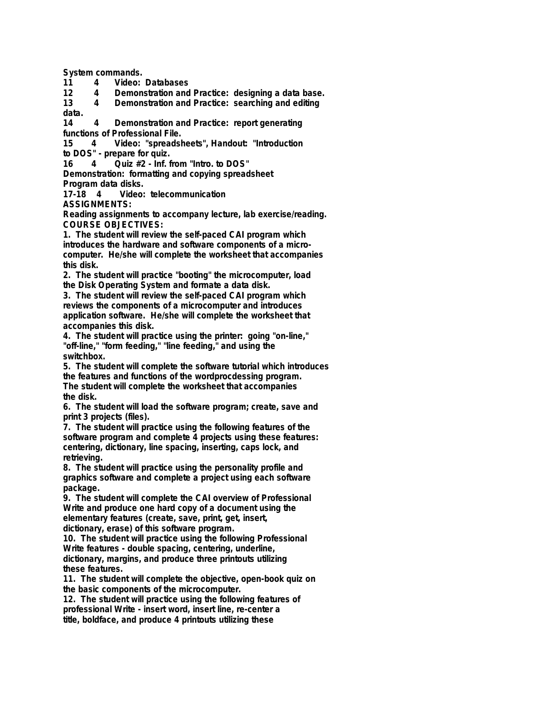**System commands.**

**11 4 Video: Databases**

**12 4 Demonstration and Practice: designing a data base. 13 4 Demonstration and Practice: searching and editing data.**

**14 4 Demonstration and Practice: report generating functions of Professional File.**

**15 4 Video: "spreadsheets", Handout: "Introduction to DOS" - prepare for quiz.**

**16 4 Quiz #2 - Inf. from "Intro. to DOS"**

**Demonstration: formatting and copying spreadsheet**

**Program data disks.**

**17-18 4 Video: telecommunication**

**ASSIGNMENTS:**

**Reading assignments to accompany lecture, lab exercise/reading. COURSE OBJECTIVES:**

**1. The student will review the self-paced CAI program which introduces the hardware and software components of a microcomputer. He/she will complete the worksheet that accompanies this disk.**

**2. The student will practice "booting" the microcomputer, load the Disk Operating System and formate a data disk.**

**3. The student will review the self-paced CAI program which reviews the components of a microcomputer and introduces application software. He/she will complete the worksheet that accompanies this disk.**

**4. The student will practice using the printer: going "on-line," "off-line," "form feeding," "line feeding," and using the switchbox.**

**5. The student will complete the software tutorial which introduces the features and functions of the wordprocdessing program. The student will complete the worksheet that accompanies the disk.**

**6. The student will load the software program; create, save and print 3 projects (files).**

**7. The student will practice using the following features of the software program and complete 4 projects using these features: centering, dictionary, line spacing, inserting, caps lock, and retrieving.**

**8. The student will practice using the personality profile and graphics software and complete a project using each software package.**

**9. The student will complete the CAI overview of Professional Write and produce one hard copy of a document using the elementary features (create, save, print, get, insert, dictionary, erase) of this software program.**

**10. The student will practice using the following Professional Write features - double spacing, centering, underline, dictionary, margins, and produce three printouts utilizing these features.**

**11. The student will complete the objective, open-book quiz on the basic components of the microcomputer.**

**12. The student will practice using the following features of professional Write - insert word, insert line, re-center a title, boldface, and produce 4 printouts utilizing these**